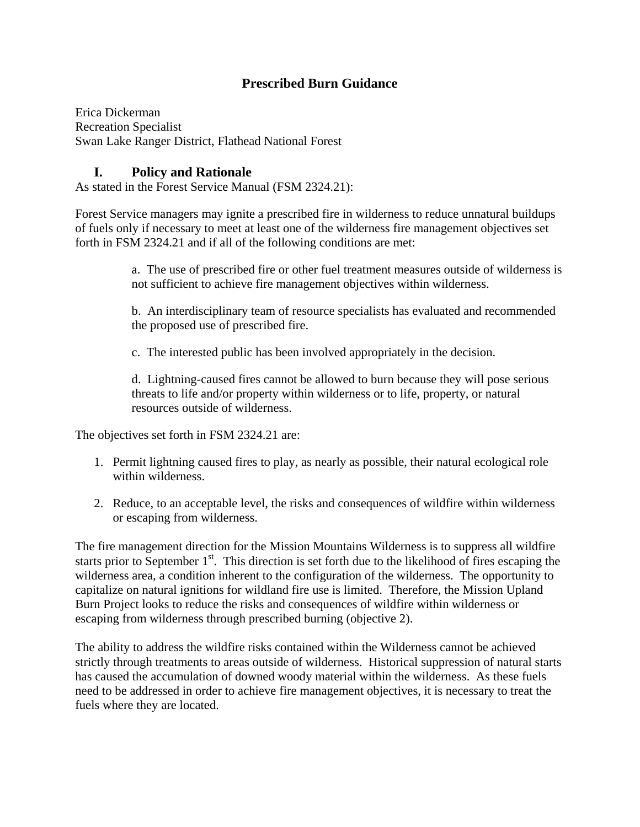## **Prescribed Burn Guidance**

Erica Dickerman Recreation Specialist Swan Lake Ranger District, Flathead National Forest

## **I. Policy and Rationale**

As stated in the Forest Service Manual (FSM 2324.21):

Forest Service managers may ignite a prescribed fire in wilderness to reduce unnatural buildups of fuels only if necessary to meet at least one of the wilderness fire management objectives set forth in FSM 2324.21 and if all of the following conditions are met:

> a. The use of prescribed fire or other fuel treatment measures outside of wilderness is not sufficient to achieve fire management objectives within wilderness.

b. An interdisciplinary team of resource specialists has evaluated and recommended the proposed use of prescribed fire.

c. The interested public has been involved appropriately in the decision.

d. Lightning-caused fires cannot be allowed to burn because they will pose serious threats to life and/or property within wilderness or to life, property, or natural resources outside of wilderness.

The objectives set forth in FSM 2324.21 are:

- 1. Permit lightning caused fires to play, as nearly as possible, their natural ecological role within wilderness.
- 2. Reduce, to an acceptable level, the risks and consequences of wildfire within wilderness or escaping from wilderness.

The fire management direction for the Mission Mountains Wilderness is to suppress all wildfire starts prior to September  $1<sup>st</sup>$ . This direction is set forth due to the likelihood of fires escaping the wilderness area, a condition inherent to the configuration of the wilderness. The opportunity to capitalize on natural ignitions for wildland fire use is limited. Therefore, the Mission Upland Burn Project looks to reduce the risks and consequences of wildfire within wilderness or escaping from wilderness through prescribed burning (objective 2).

The ability to address the wildfire risks contained within the Wilderness cannot be achieved strictly through treatments to areas outside of wilderness. Historical suppression of natural starts has caused the accumulation of downed woody material within the wilderness. As these fuels need to be addressed in order to achieve fire management objectives, it is necessary to treat the fuels where they are located.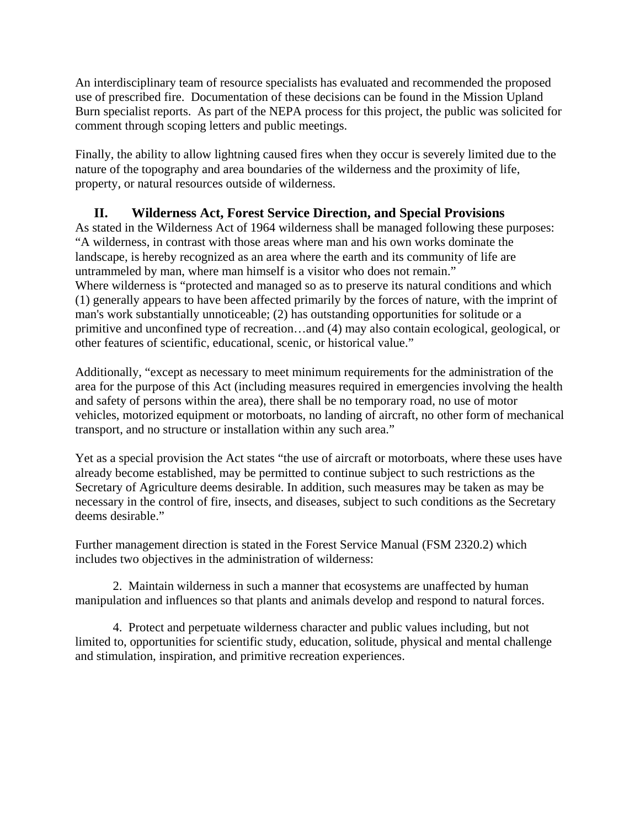An interdisciplinary team of resource specialists has evaluated and recommended the proposed use of prescribed fire. Documentation of these decisions can be found in the Mission Upland Burn specialist reports. As part of the NEPA process for this project, the public was solicited for comment through scoping letters and public meetings.

Finally, the ability to allow lightning caused fires when they occur is severely limited due to the nature of the topography and area boundaries of the wilderness and the proximity of life, property, or natural resources outside of wilderness.

## **II. Wilderness Act, Forest Service Direction, and Special Provisions**

As stated in the Wilderness Act of 1964 wilderness shall be managed following these purposes: "A wilderness, in contrast with those areas where man and his own works dominate the landscape, is hereby recognized as an area where the earth and its community of life are untrammeled by man, where man himself is a visitor who does not remain." Where wilderness is "protected and managed so as to preserve its natural conditions and which (1) generally appears to have been affected primarily by the forces of nature, with the imprint of man's work substantially unnoticeable; (2) has outstanding opportunities for solitude or a primitive and unconfined type of recreation…and (4) may also contain ecological, geological, or other features of scientific, educational, scenic, or historical value."

Additionally, "except as necessary to meet minimum requirements for the administration of the area for the purpose of this Act (including measures required in emergencies involving the health and safety of persons within the area), there shall be no temporary road, no use of motor vehicles, motorized equipment or motorboats, no landing of aircraft, no other form of mechanical transport, and no structure or installation within any such area."

Yet as a special provision the Act states "the use of aircraft or motorboats, where these uses have already become established, may be permitted to continue subject to such restrictions as the Secretary of Agriculture deems desirable. In addition, such measures may be taken as may be necessary in the control of fire, insects, and diseases, subject to such conditions as the Secretary deems desirable."

Further management direction is stated in the Forest Service Manual (FSM 2320.2) which includes two objectives in the administration of wilderness:

2. Maintain wilderness in such a manner that ecosystems are unaffected by human manipulation and influences so that plants and animals develop and respond to natural forces.

4. Protect and perpetuate wilderness character and public values including, but not limited to, opportunities for scientific study, education, solitude, physical and mental challenge and stimulation, inspiration, and primitive recreation experiences.